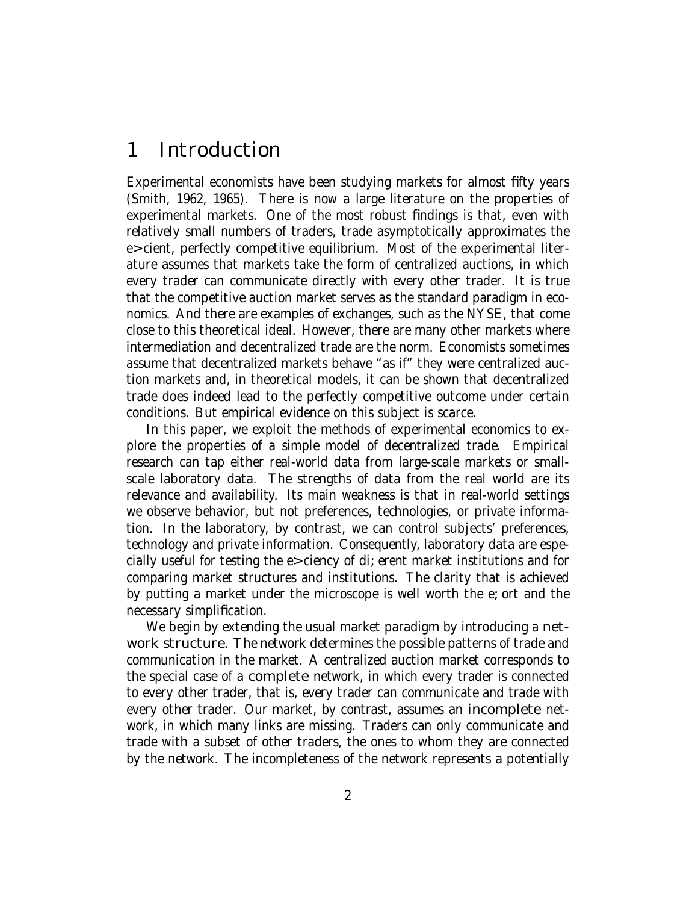# 1 Introduction

Experimental economists have been studying markets for almost fifty years (Smith, 1962, 1965). There is now a large literature on the properties of experimental markets. One of the most robust findings is that, even with relatively small numbers of traders, trade asymptotically approximates the e cient, perfectly competitive equilibrium. Most of the experimental literature assumes that markets take the form of centralized auctions, in which every trader can communicate directly with every other trader. It is true that the competitive auction market serves as the standard paradigm in economics. And there are examples of exchanges, such as the NYSE, that come close to this theoretical ideal. However, there are many other markets where intermediation and decentralized trade are the norm. Economists sometimes assume that decentralized markets behave "as if" they were centralized auction markets and, in theoretical models, it can be shown that decentralized trade does indeed lead to the perfectly competitive outcome under certain conditions. But empirical evidence on this subject is scarce.

In this paper, we exploit the methods of experimental economics to explore the properties of a simple model of decentralized trade. Empirical research can tap either real-world data from large-scale markets or smallscale laboratory data. The strengths of data from the real world are its relevance and availability. Its main weakness is that in real-world settings we observe behavior, but not preferences, technologies, or private information. In the laboratory, by contrast, we can control subjects' preferences, technology and private information. Consequently, laboratory data are especially useful for testing the e ciency of di erent market institutions and for comparing market structures and institutions. The clarity that is achieved by putting a market under the microscope is well worth the e ort and the necessary simplification.

We begin by extending the usual market paradigm by introducing a network structure. The network determines the possible patterns of trade and communication in the market. A centralized auction market corresponds to the special case of a complete network, in which every trader is connected to every other trader, that is, every trader can communicate and trade with every other trader. Our market, by contrast, assumes an **incomplete** network, in which many links are missing. Traders can only communicate and trade with a subset of other traders, the ones to whom they are connected by the network. The incompleteness of the network represents a potentially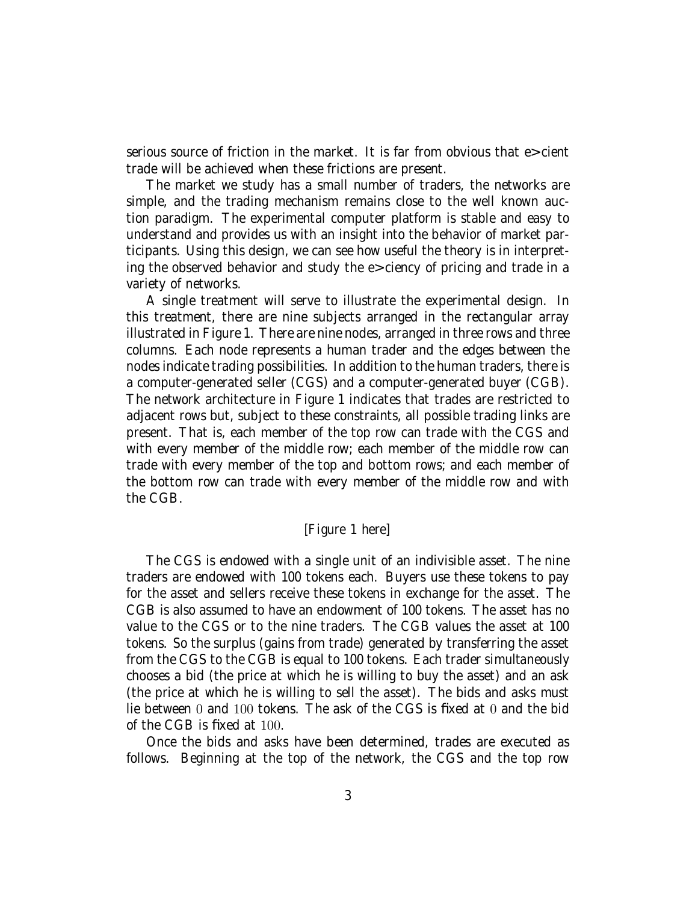serious source of friction in the market. It is far from obvious that e cient trade will be achieved when these frictions are present.

The market we study has a small number of traders, the networks are simple, and the trading mechanism remains close to the well known auction paradigm. The experimental computer platform is stable and easy to understand and provides us with an insight into the behavior of market participants. Using this design, we can see how useful the theory is in interpreting the observed behavior and study the e ciency of pricing and trade in a variety of networks.

A single treatment will serve to illustrate the experimental design. In this treatment, there are nine subjects arranged in the rectangular array illustrated in Figure 1. There are nine nodes, arranged in three rows and three columns. Each node represents a human trader and the edges between the nodes indicate trading possibilities. In addition to the human traders, there is a computer-generated seller (CGS) and a computer-generated buyer (CGB). The network architecture in Figure 1 indicates that trades are restricted to adjacent rows but, subject to these constraints, all possible trading links are present. That is, each member of the top row can trade with the CGS and with every member of the middle row; each member of the middle row can trade with every member of the top and bottom rows; and each member of the bottom row can trade with every member of the middle row and with the CGB.

#### [Figure 1 here]

The CGS is endowed with a single unit of an indivisible asset. The nine traders are endowed with 100 tokens each. Buyers use these tokens to pay for the asset and sellers receive these tokens in exchange for the asset. The CGB is also assumed to have an endowment of 100 tokens. The asset has no value to the CGS or to the nine traders. The CGB values the asset at 100 tokens. So the surplus (gains from trade) generated by transferring the asset from the CGS to the CGB is equal to 100 tokens. Each trader simultaneously chooses a bid (the price at which he is willing to buy the asset) and an ask (the price at which he is willing to sell the asset). The bids and asks must lie between 0 and 100 tokens. The ask of the CGS is fixed at 0 and the bid of the CGB is fixed at 100.

Once the bids and asks have been determined, trades are executed as follows. Beginning at the top of the network, the CGS and the top row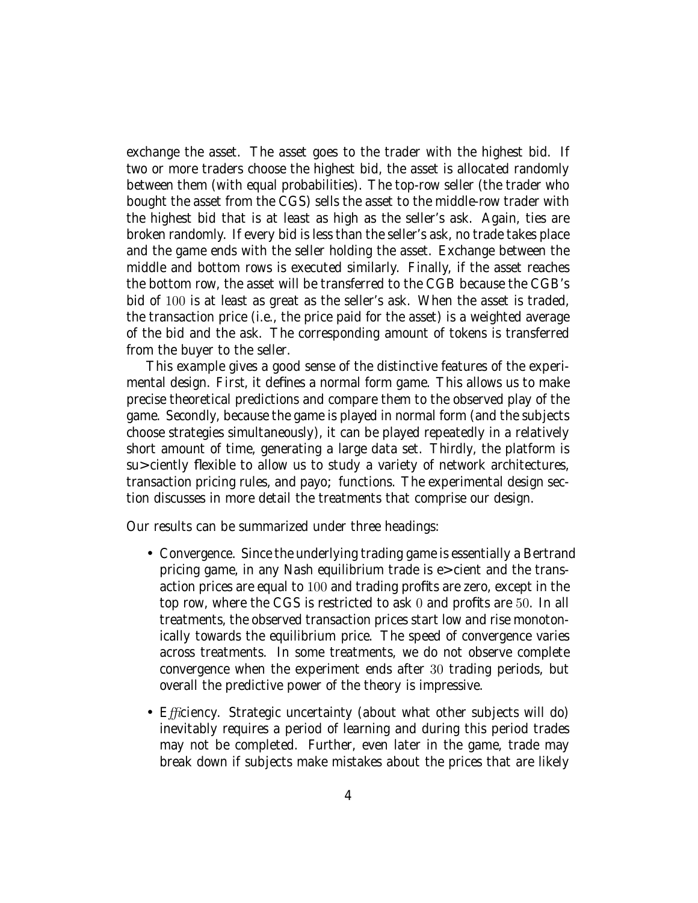exchange the asset. The asset goes to the trader with the highest bid. If two or more traders choose the highest bid, the asset is allocated randomly between them (with equal probabilities). The top-row seller (the trader who bought the asset from the CGS) sells the asset to the middle-row trader with the highest bid that is at least as high as the seller's ask. Again, ties are broken randomly. If every bid is less than the seller's ask, no trade takes place and the game ends with the seller holding the asset. Exchange between the middle and bottom rows is executed similarly. Finally, if the asset reaches the bottom row, the asset will be transferred to the CGB because the CGB's bid of 100 is at least as great as the seller's ask. When the asset is traded, the transaction price (i.e., the price paid for the asset) is a weighted average of the bid and the ask. The corresponding amount of tokens is transferred from the buyer to the seller.

This example gives a good sense of the distinctive features of the experimental design. First, it defines a normal form game. This allows us to make precise theoretical predictions and compare them to the observed play of the game. Secondly, because the game is played in normal form (and the subjects choose strategies simultaneously), it can be played repeatedly in a relatively short amount of time, generating a large data set. Thirdly, the platform is su ciently flexible to allow us to study a variety of network architectures, transaction pricing rules, and payo functions. The experimental design section discusses in more detail the treatments that comprise our design.

Our results can be summarized under three headings:

- Convergence. Since the underlying trading game is essentially a Bertrand pricing game, in any Nash equilibrium trade is e cient and the transaction prices are equal to 100 and trading profits are zero, except in the top row, where the CGS is restricted to ask 0 and profits are 50. In all treatments, the observed transaction prices start low and rise monotonically towards the equilibrium price. The speed of convergence varies across treatments. In some treatments, we do not observe complete convergence when the experiment ends after 30 trading periods, but overall the predictive power of the theory is impressive.
- Efficiency. Strategic uncertainty (about what other subjects will do) inevitably requires a period of learning and during this period trades may not be completed. Further, even later in the game, trade may break down if subjects make mistakes about the prices that are likely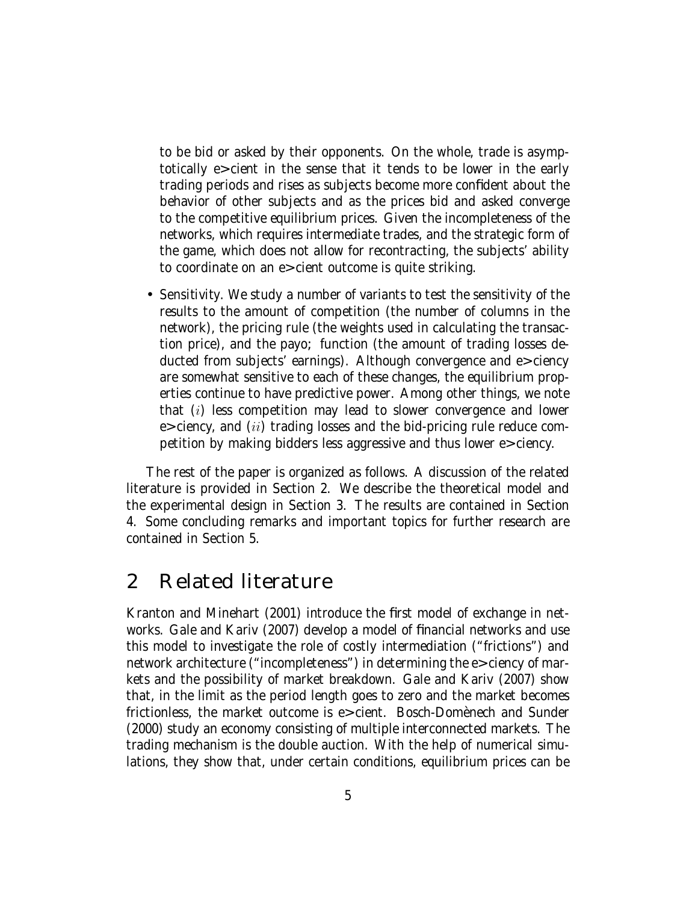to be bid or asked by their opponents. On the whole, trade is asymptotically e cient in the sense that it tends to be lower in the early trading periods and rises as subjects become more confident about the behavior of other subjects and as the prices bid and asked converge to the competitive equilibrium prices. Given the incompleteness of the networks, which requires intermediate trades, and the strategic form of the game, which does not allow for recontracting, the subjects' ability to coordinate on an e cient outcome is quite striking.

• Sensitivity. We study a number of variants to test the sensitivity of the results to the amount of competition (the number of columns in the network), the pricing rule (the weights used in calculating the transaction price), and the payo function (the amount of trading losses deducted from subjects' earnings). Although convergence and e ciency are somewhat sensitive to each of these changes, the equilibrium properties continue to have predictive power. Among other things, we note that  $(i)$  less competition may lead to slower convergence and lower e ciency, and  $(ii)$  trading losses and the bid-pricing rule reduce competition by making bidders less aggressive and thus lower e ciency.

The rest of the paper is organized as follows. A discussion of the related literature is provided in Section 2. We describe the theoretical model and the experimental design in Section 3. The results are contained in Section 4. Some concluding remarks and important topics for further research are contained in Section 5.

## 2 Related literature

Kranton and Minehart (2001) introduce the first model of exchange in networks. Gale and Kariv (2007) develop a model of financial networks and use this model to investigate the role of costly intermediation ("frictions") and network architecture ("incompleteness") in determining the e ciency of markets and the possibility of market breakdown. Gale and Kariv (2007) show that, in the limit as the period length goes to zero and the market becomes frictionless, the market outcome is e cient. Bosch-Domènech and Sunder (2000) study an economy consisting of multiple interconnected markets. The trading mechanism is the double auction. With the help of numerical simulations, they show that, under certain conditions, equilibrium prices can be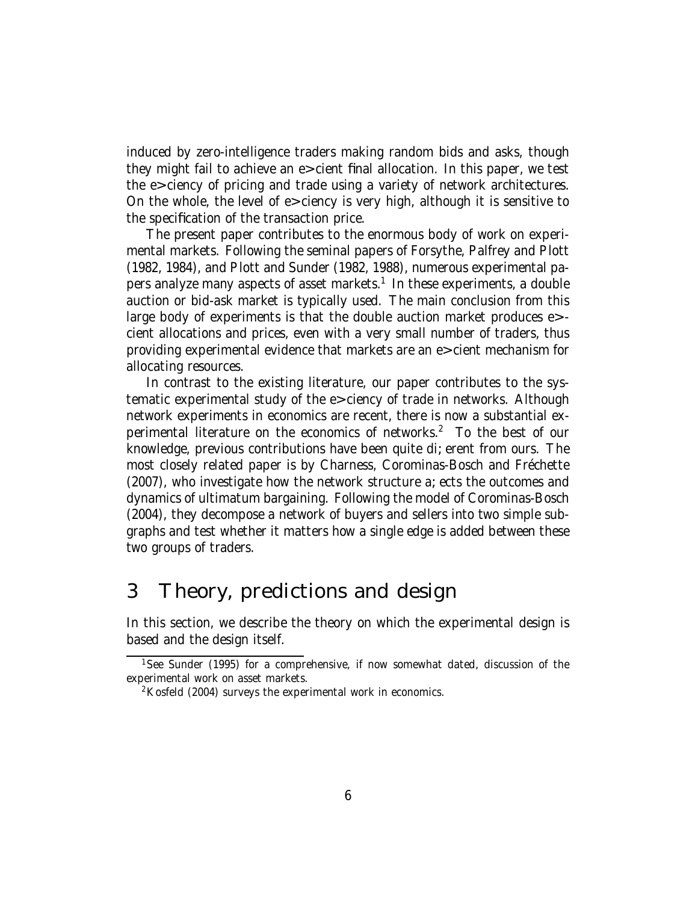induced by zero-intelligence traders making random bids and asks, though they might fail to achieve an e cient final allocation. In this paper, we test the e ciency of pricing and trade using a variety of network architectures. On the whole, the level of e ciency is very high, although it is sensitive to the specification of the transaction price.

The present paper contributes to the enormous body of work on experimental markets. Following the seminal papers of Forsythe, Palfrey and Plott (1982, 1984), and Plott and Sunder (1982, 1988), numerous experimental papers analyze many aspects of asset markets.1 In these experiments, a double auction or bid-ask market is typically used. The main conclusion from this large body of experiments is that the double auction market produces e cient allocations and prices, even with a very small number of traders, thus providing experimental evidence that markets are an e cient mechanism for allocating resources.

In contrast to the existing literature, our paper contributes to the systematic experimental study of the e ciency of trade in networks. Although network experiments in economics are recent, there is now a substantial experimental literature on the economics of networks.<sup>2</sup> To the best of our knowledge, previous contributions have been quite di erent from ours. The most closely related paper is by Charness, Corominas-Bosch and Fréchette (2007), who investigate how the network structure a ects the outcomes and dynamics of ultimatum bargaining. Following the model of Corominas-Bosch (2004), they decompose a network of buyers and sellers into two simple subgraphs and test whether it matters how a single edge is added between these two groups of traders.

## 3 Theory, predictions and design

In this section, we describe the theory on which the experimental design is based and the design itself.

<sup>&</sup>lt;sup>1</sup>See Sunder (1995) for a comprehensive, if now somewhat dated, discussion of the experimental work on asset markets.

 $2$ Kosfeld (2004) surveys the experimental work in economics.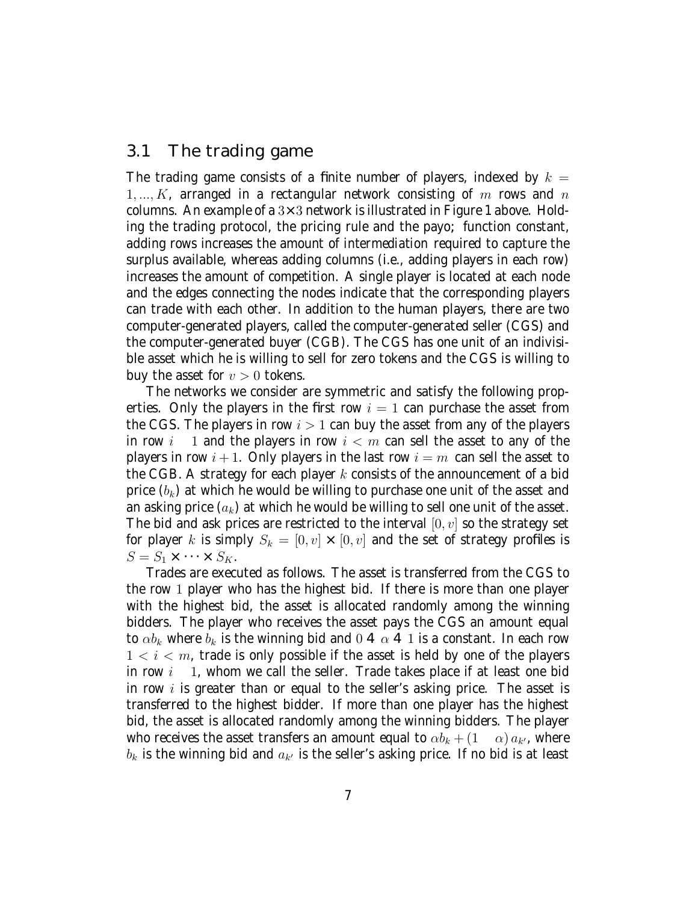#### 3.1 The trading game

The trading game consists of a finite number of players, indexed by  $k =$ 1, ...,  $K_i$  arranged in a rectangular network consisting of m rows and n columns. An example of a  $3\times3$  network is illustrated in Figure 1 above. Holding the trading protocol, the pricing rule and the payo function constant, adding rows increases the amount of intermediation required to capture the surplus available, whereas adding columns (i.e., adding players in each row) increases the amount of competition. A single player is located at each node and the edges connecting the nodes indicate that the corresponding players can trade with each other. In addition to the human players, there are two computer-generated players, called the computer-generated seller (CGS) and the computer-generated buyer (CGB). The CGS has one unit of an indivisible asset which he is willing to sell for zero tokens and the CGS is willing to buy the asset for  $v > 0$  tokens.

The networks we consider are symmetric and satisfy the following properties. Only the players in the first row  $i = 1$  can purchase the asset from the CGS. The players in row  $i > 1$  can buy the asset from any of the players in row  $i - 1$  and the players in row  $i < m$  can sell the asset to any of the players in row  $i+1$ . Only players in the last row  $i = m$  can sell the asset to the CGB. A strategy for each player  $k$  consists of the announcement of a bid price  $(b_k)$  at which he would be willing to purchase one unit of the asset and an asking price  $(a_k)$  at which he would be willing to sell one unit of the asset. The bid and ask prices are restricted to the interval  $[0, v]$  so the strategy set for player k is simply  $S_k = [0, v] \times [0, v]$  and the set of strategy profiles is  $S = S_1 \times \cdots \times S_K$ .

Trades are executed as follows. The asset is transferred from the CGS to the row 1 player who has the highest bid. If there is more than one player with the highest bid, the asset is allocated randomly among the winning bidders. The player who receives the asset pays the CGS an amount equal to  $\alpha b_k$  where  $b_k$  is the winning bid and 0  $\alpha$  1 is a constant. In each row  $1 < i < m$ , trade is only possible if the asset is held by one of the players in row  $i - 1$ , whom we call the seller. Trade takes place if at least one bid in row  $i$  is greater than or equal to the seller's asking price. The asset is transferred to the highest bidder. If more than one player has the highest bid, the asset is allocated randomly among the winning bidders. The player who receives the asset transfers an amount equal to  $\alpha b_k + (1 - \alpha) a_{k'}$ , where  $b_k$  is the winning bid and  $a_{k'}$  is the seller's asking price. If no bid is at least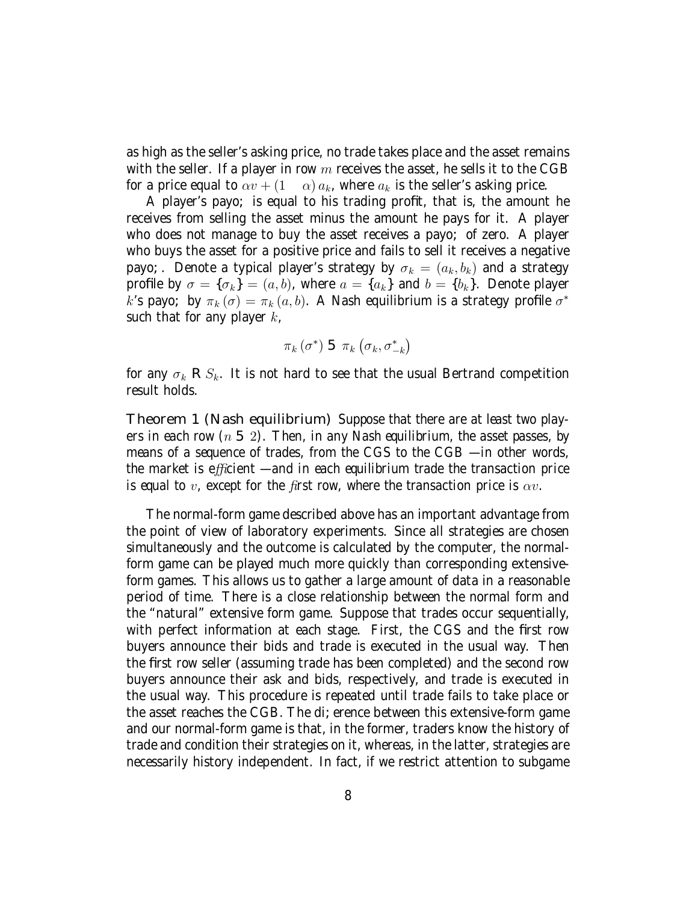as high as the seller's asking price, no trade takes place and the asset remains with the seller. If a player in row  $m$  receives the asset, he sells it to the CGB for a price equal to  $\alpha v + (1 - \alpha) a_k$ , where  $a_k$  is the seller's asking price.

A player's payo is equal to his trading profit, that is, the amount he receives from selling the asset minus the amount he pays for it. A player who does not manage to buy the asset receives a payo of zero. A player who buys the asset for a positive price and fails to sell it receives a negative payo. Denote a typical player's strategy by  $\sigma_k = (a_k, b_k)$  and a strategy profile by  $\sigma = {\sigma_k} = (a, b)$ , where  $a = {a_k}$  and  $b = {b_k}$ . Denote player k's payo by  $\pi_k(\sigma) = \pi_k(a, b)$ . A Nash equilibrium is a strategy profile  $\sigma^*$ such that for any player  $k_i$ 

$$
\pi_k\left(\sigma^*\right) \quad \ \pi_k\left(\sigma_k,\sigma_{-k}^*\right)
$$

for any  $\sigma_k$   $S_k$ . It is not hard to see that the usual Bertrand competition result holds.

Theorem 1 (Nash equilibrium) Suppose that there are at least two players in each row  $(n \ 2)$ . Then, in any Nash equilibrium, the asset passes, by means of a sequence of trades, from the CGS to the CGB — in other words, the market is efficient  $-$  and in each equilibrium trade the transaction price is equal to v, except for the first row, where the transaction price is  $\alpha v$ .

The normal-form game described above has an important advantage from the point of view of laboratory experiments. Since all strategies are chosen simultaneously and the outcome is calculated by the computer, the normalform game can be played much more quickly than corresponding extensiveform games. This allows us to gather a large amount of data in a reasonable period of time. There is a close relationship between the normal form and the "natural" extensive form game. Suppose that trades occur sequentially, with perfect information at each stage. First, the CGS and the first row buyers announce their bids and trade is executed in the usual way. Then the first row seller (assuming trade has been completed) and the second row buyers announce their ask and bids, respectively, and trade is executed in the usual way. This procedure is repeated until trade fails to take place or the asset reaches the CGB. The di erence between this extensive-form game and our normal-form game is that, in the former, traders know the history of trade and condition their strategies on it, whereas, in the latter, strategies are necessarily history independent. In fact, if we restrict attention to subgame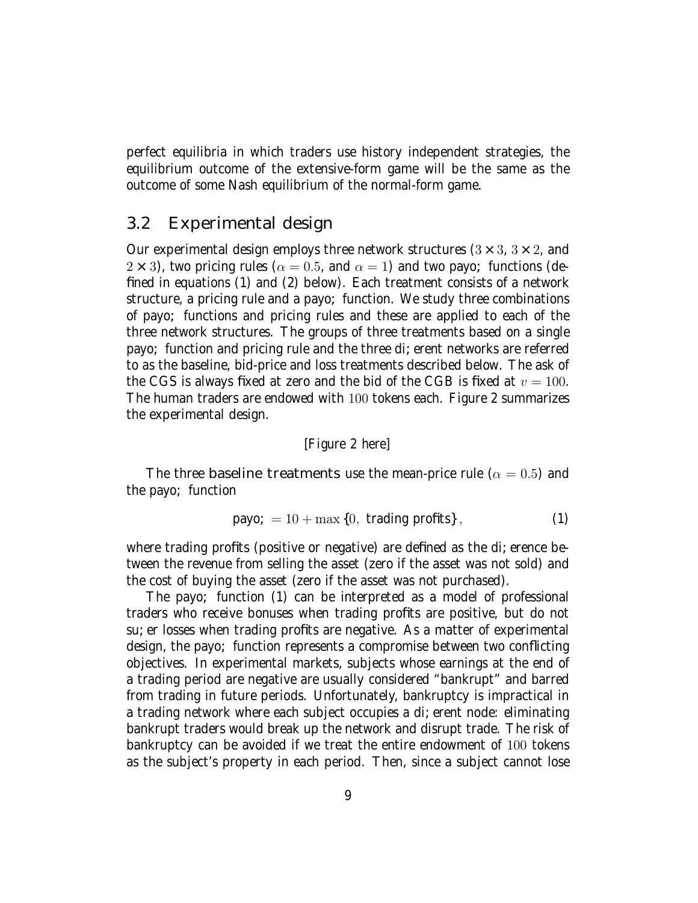perfect equilibria in which traders use history independent strategies, the equilibrium outcome of the extensive-form game will be the same as the outcome of some Nash equilibrium of the normal-form game.

#### 3.2 Experimental design

Our experimental design employs three network structures  $(3 \times 3, 3 \times 2, 3)$  $2 \times 3$ ), two pricing rules ( $\alpha = 0.5$ , and  $\alpha = 1$ ) and two payo functions (defined in equations (1) and (2) below). Each treatment consists of a network structure, a pricing rule and a payo function. We study three combinations of payo functions and pricing rules and these are applied to each of the three network structures. The groups of three treatments based on a single payo function and pricing rule and the three di erent networks are referred to as the baseline, bid-price and loss treatments described below. The ask of the CGS is always fixed at zero and the bid of the CGB is fixed at  $v = 100$ . The human traders are endowed with 100 tokens each. Figure 2 summarizes the experimental design.

#### [Figure 2 here]

The three baseline treatments use the mean-price rule ( $\alpha = 0.5$ ) and the payo function

$$
payo = 10 + \max\{0, \text{ trading profits}\},\tag{1}
$$

where trading profits (positive or negative) are defined as the di erence between the revenue from selling the asset (zero if the asset was not sold) and the cost of buying the asset (zero if the asset was not purchased).

The payo function (1) can be interpreted as a model of professional traders who receive bonuses when trading profits are positive, but do not su er losses when trading profits are negative. As a matter of experimental design, the payo function represents a compromise between two conflicting objectives. In experimental markets, subjects whose earnings at the end of a trading period are negative are usually considered "bankrupt" and barred from trading in future periods. Unfortunately, bankruptcy is impractical in a trading network where each subject occupies a di erent node: eliminating bankrupt traders would break up the network and disrupt trade. The risk of bankruptcy can be avoided if we treat the entire endowment of 100 tokens as the subject's property in each period. Then, since a subject cannot lose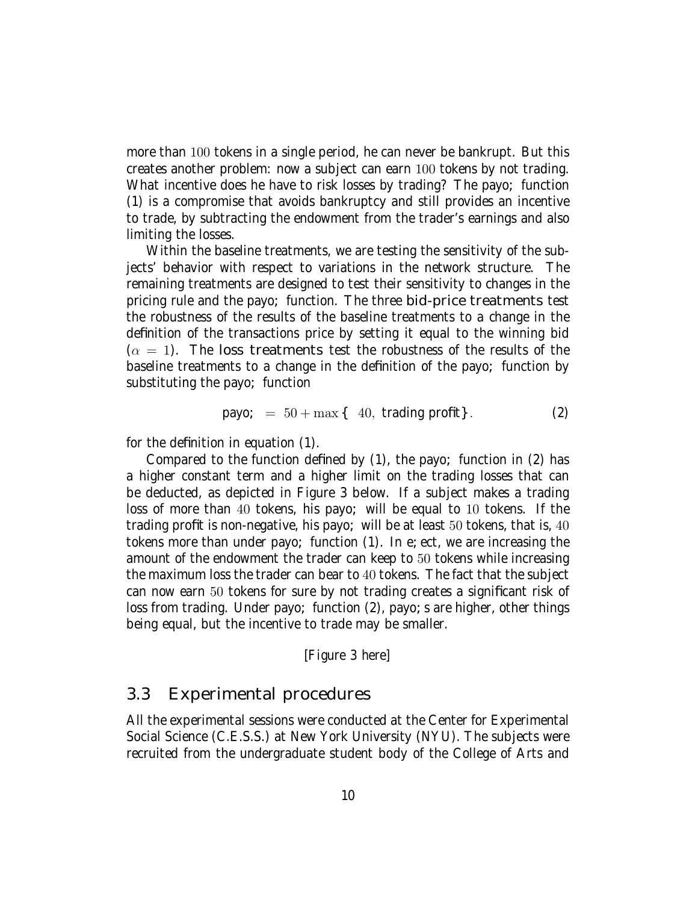more than 100 tokens in a single period, he can never be bankrupt. But this creates another problem: now a subject can earn 100 tokens by not trading. What incentive does he have to risk losses by trading? The payo function (1) is a compromise that avoids bankruptcy and still provides an incentive to trade, by subtracting the endowment from the trader's earnings and also limiting the losses.

Within the baseline treatments, we are testing the sensitivity of the subjects' behavior with respect to variations in the network structure. The remaining treatments are designed to test their sensitivity to changes in the pricing rule and the payo function. The three bid-price treatments test the robustness of the results of the baseline treatments to a change in the definition of the transactions price by setting it equal to the winning bid  $(\alpha = 1)$ . The loss treatments test the robustness of the results of the baseline treatments to a change in the definition of the payo function by substituting the payo function

$$
payo = 50 + \max\{-40, \text{ trading profit}\}.
$$
 (2)

for the definition in equation (1).

Compared to the function defined by (1), the payo function in (2) has a higher constant term and a higher limit on the trading losses that can be deducted, as depicted in Figure 3 below. If a subject makes a trading loss of more than 40 tokens, his payo will be equal to 10 tokens. If the trading profit is non-negative, his payo will be at least 50 tokens, that is, 40 tokens more than under payo function (1). In e ect, we are increasing the amount of the endowment the trader can keep to 50 tokens while increasing the maximum loss the trader can bear to 40 tokens. The fact that the subject can now earn 50 tokens for sure by not trading creates a significant risk of loss from trading. Under payo function (2), payo s are higher, other things being equal, but the incentive to trade may be smaller.

[Figure 3 here]

#### 3.3 Experimental procedures

All the experimental sessions were conducted at the Center for Experimental Social Science (C.E.S.S.) at New York University (NYU). The subjects were recruited from the undergraduate student body of the College of Arts and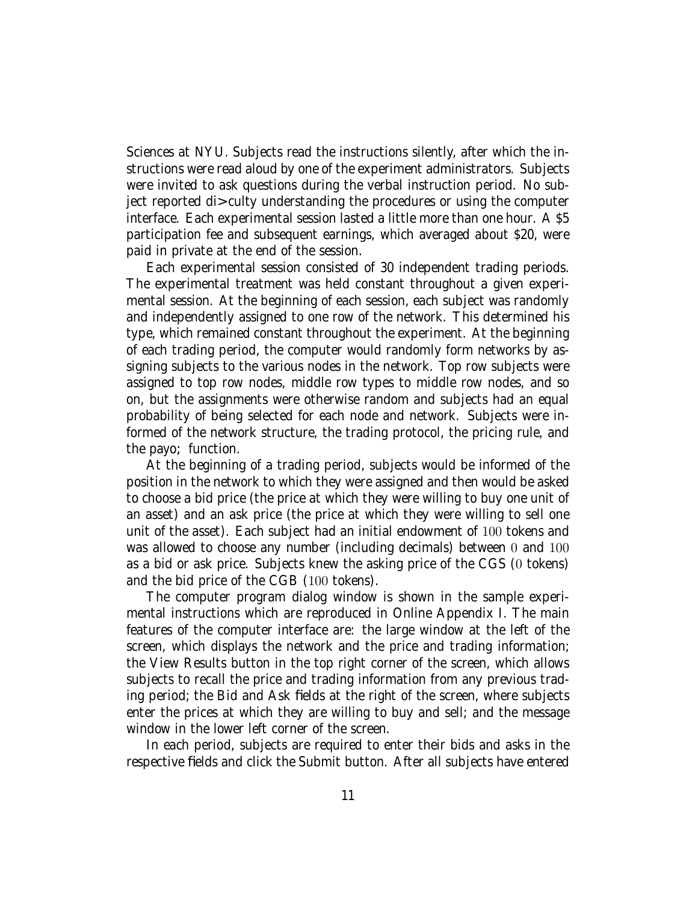Sciences at NYU. Subjects read the instructions silently, after which the instructions were read aloud by one of the experiment administrators. Subjects were invited to ask questions during the verbal instruction period. No subject reported di culty understanding the procedures or using the computer interface. Each experimental session lasted a little more than one hour. A \$5 participation fee and subsequent earnings, which averaged about \$20, were paid in private at the end of the session.

Each experimental session consisted of 30 independent trading periods. The experimental treatment was held constant throughout a given experimental session. At the beginning of each session, each subject was randomly and independently assigned to one row of the network. This determined his type, which remained constant throughout the experiment. At the beginning of each trading period, the computer would randomly form networks by assigning subjects to the various nodes in the network. Top row subjects were assigned to top row nodes, middle row types to middle row nodes, and so on, but the assignments were otherwise random and subjects had an equal probability of being selected for each node and network. Subjects were informed of the network structure, the trading protocol, the pricing rule, and the payo function.

At the beginning of a trading period, subjects would be informed of the position in the network to which they were assigned and then would be asked to choose a bid price (the price at which they were willing to buy one unit of an asset) and an ask price (the price at which they were willing to sell one unit of the asset). Each subject had an initial endowment of 100 tokens and was allowed to choose any number (including decimals) between 0 and 100 as a bid or ask price. Subjects knew the asking price of the CGS (0 tokens) and the bid price of the CGB (100 tokens).

The computer program dialog window is shown in the sample experimental instructions which are reproduced in Online Appendix I. The main features of the computer interface are: the large window at the left of the screen, which displays the network and the price and trading information; the View Results button in the top right corner of the screen, which allows subjects to recall the price and trading information from any previous trading period; the Bid and Ask fields at the right of the screen, where subjects enter the prices at which they are willing to buy and sell; and the message window in the lower left corner of the screen.

In each period, subjects are required to enter their bids and asks in the respective fields and click the Submit button. After all subjects have entered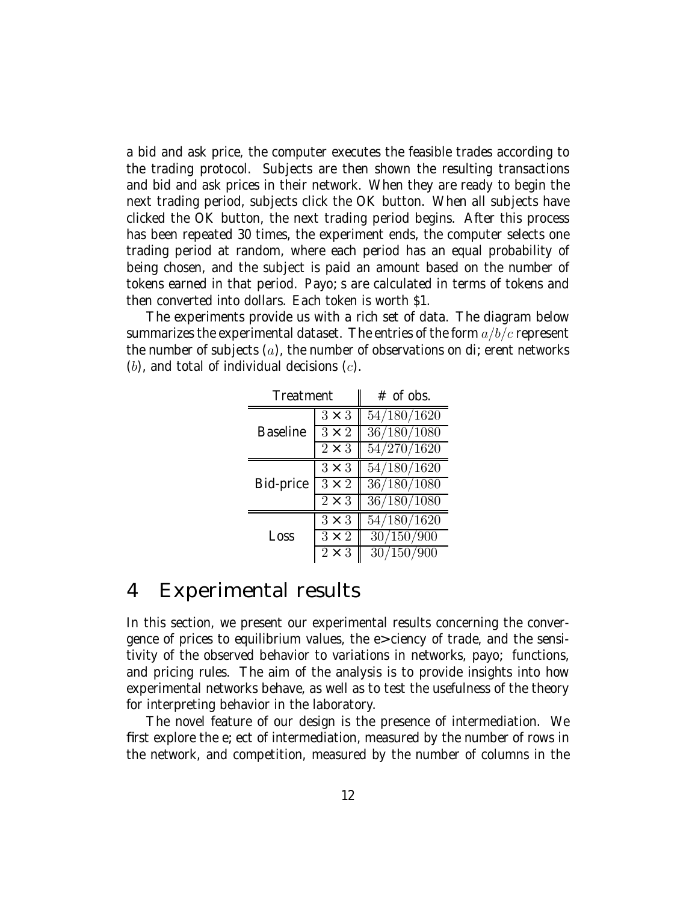a bid and ask price, the computer executes the feasible trades according to the trading protocol. Subjects are then shown the resulting transactions and bid and ask prices in their network. When they are ready to begin the next trading period, subjects click the OK button. When all subjects have clicked the OK button, the next trading period begins. After this process has been repeated 30 times, the experiment ends, the computer selects one trading period at random, where each period has an equal probability of being chosen, and the subject is paid an amount based on the number of tokens earned in that period. Payo s are calculated in terms of tokens and then converted into dollars. Each token is worth \$1.

The experiments provide us with a rich set of data. The diagram below summarizes the experimental dataset. The entries of the form  $a/b/c$  represent the number of subjects  $(a)$ , the number of observations on di erent networks  $(b)$ , and total of individual decisions  $(c)$ .

| Treatment       |              | $#$ of obs. |
|-----------------|--------------|-------------|
|                 | $3\times3$   | 54/180/1620 |
| <b>Baseline</b> | $3 \times 2$ | 36/180/1080 |
|                 | $2 \times 3$ | 54/270/1620 |
|                 | $3 \times 3$ | 54/180/1620 |
| Bid-price       | $3 \times 2$ | 36/180/1080 |
|                 | $2 \times 3$ | 36/180/1080 |
|                 | $3 \times 3$ | 54/180/1620 |
| Loss            | $3 \times 2$ | 30/150/900  |
|                 | $2 \times 3$ | 30/150/900  |

## 4 Experimental results

In this section, we present our experimental results concerning the convergence of prices to equilibrium values, the e ciency of trade, and the sensitivity of the observed behavior to variations in networks, payo functions, and pricing rules. The aim of the analysis is to provide insights into how experimental networks behave, as well as to test the usefulness of the theory for interpreting behavior in the laboratory.

The novel feature of our design is the presence of intermediation. We first explore the e ect of intermediation, measured by the number of rows in the network, and competition, measured by the number of columns in the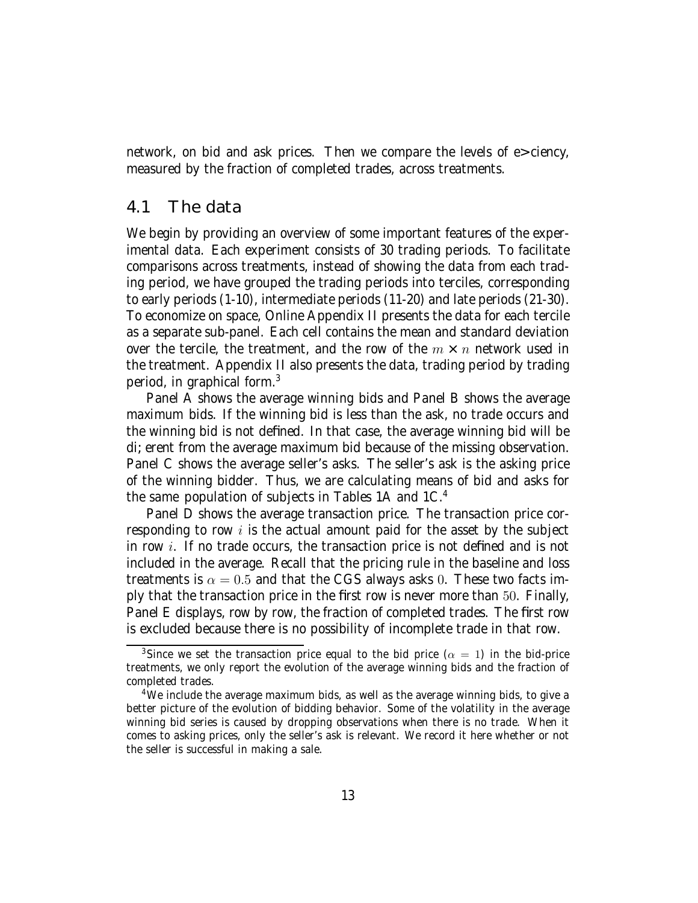network, on bid and ask prices. Then we compare the levels of e ciency, measured by the fraction of completed trades, across treatments.

### 4.1 The data

We begin by providing an overview of some important features of the experimental data. Each experiment consists of 30 trading periods. To facilitate comparisons across treatments, instead of showing the data from each trading period, we have grouped the trading periods into terciles, corresponding to early periods (1-10), intermediate periods (11-20) and late periods (21-30). To economize on space, Online Appendix II presents the data for each tercile as a separate sub-panel. Each cell contains the mean and standard deviation over the tercile, the treatment, and the row of the  $m \times n$  network used in the treatment. Appendix II also presents the data, trading period by trading period, in graphical form.3

Panel A shows the average winning bids and Panel B shows the average maximum bids. If the winning bid is less than the ask, no trade occurs and the winning bid is not defined. In that case, the average winning bid will be di erent from the average maximum bid because of the missing observation. Panel C shows the average seller's asks. The seller's ask is the asking price of the winning bidder. Thus, we are calculating means of bid and asks for the same population of subjects in Tables 1A and 1C.<sup>4</sup>

Panel D shows the average transaction price. The transaction price corresponding to row  $i$  is the actual amount paid for the asset by the subject in row i. If no trade occurs, the transaction price is not defined and is not included in the average. Recall that the pricing rule in the baseline and loss treatments is  $\alpha = 0.5$  and that the CGS always asks 0. These two facts imply that the transaction price in the first row is never more than 50. Finally, Panel E displays, row by row, the fraction of completed trades. The first row is excluded because there is no possibility of incomplete trade in that row.

<sup>&</sup>lt;sup>3</sup>Since we set the transaction price equal to the bid price  $(\alpha = 1)$  in the bid-price treatments, we only report the evolution of the average winning bids and the fraction of completed trades.

<sup>4</sup>We include the average maximum bids, as well as the average winning bids, to give a better picture of the evolution of bidding behavior. Some of the volatility in the average winning bid series is caused by dropping observations when there is no trade. When it comes to asking prices, only the seller's ask is relevant. We record it here whether or not the seller is successful in making a sale.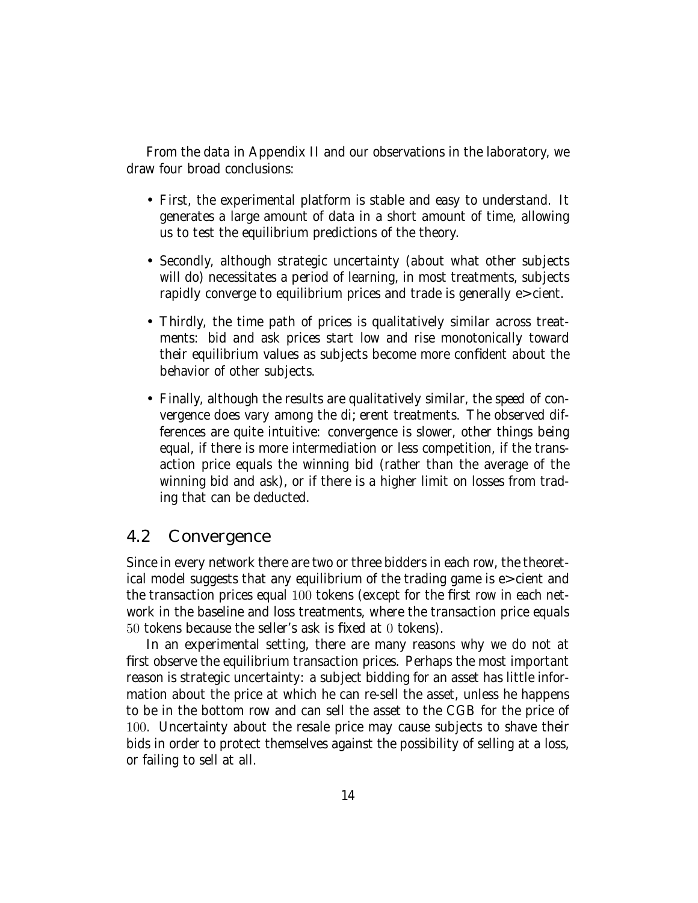From the data in Appendix II and our observations in the laboratory, we draw four broad conclusions:

- First, the experimental platform is stable and easy to understand. It generates a large amount of data in a short amount of time, allowing us to test the equilibrium predictions of the theory.
- Secondly, although strategic uncertainty (about what other subjects will do) necessitates a period of learning, in most treatments, subjects rapidly converge to equilibrium prices and trade is generally e cient.
- Thirdly, the time path of prices is qualitatively similar across treatments: bid and ask prices start low and rise monotonically toward their equilibrium values as subjects become more confident about the behavior of other subjects.
- Finally, although the results are qualitatively similar, the speed of convergence does vary among the di erent treatments. The observed differences are quite intuitive: convergence is slower, other things being equal, if there is more intermediation or less competition, if the transaction price equals the winning bid (rather than the average of the winning bid and ask), or if there is a higher limit on losses from trading that can be deducted.

### 4.2 Convergence

Since in every network there are two or three bidders in each row, the theoretical model suggests that any equilibrium of the trading game is e cient and the transaction prices equal 100 tokens (except for the first row in each network in the baseline and loss treatments, where the transaction price equals 50 tokens because the seller's ask is fixed at 0 tokens).

In an experimental setting, there are many reasons why we do not at first observe the equilibrium transaction prices. Perhaps the most important reason is strategic uncertainty: a subject bidding for an asset has little information about the price at which he can re-sell the asset, unless he happens to be in the bottom row and can sell the asset to the CGB for the price of 100. Uncertainty about the resale price may cause subjects to shave their bids in order to protect themselves against the possibility of selling at a loss, or failing to sell at all.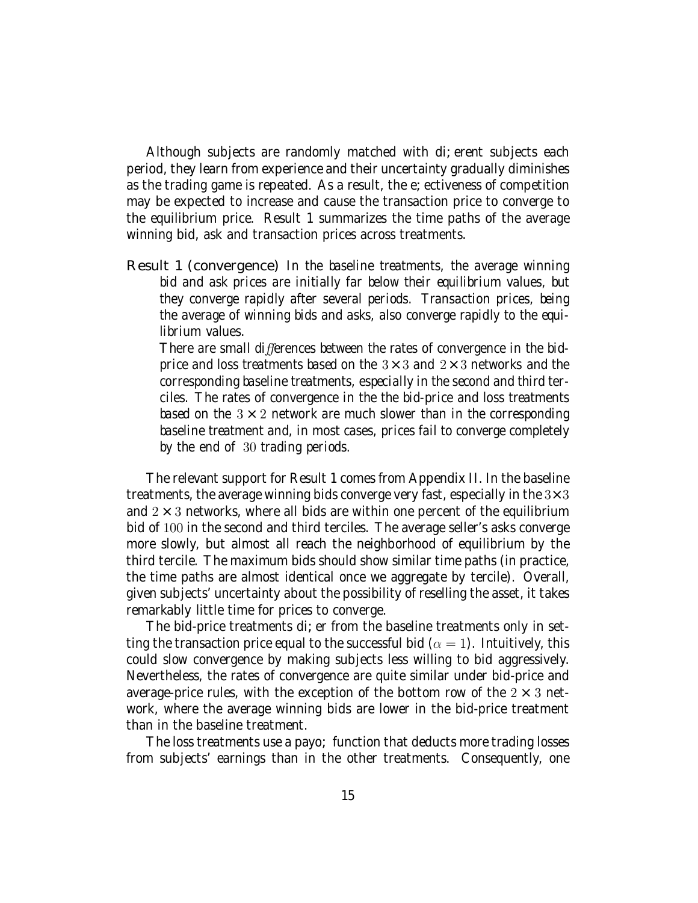Although subjects are randomly matched with di erent subjects each period, they learn from experience and their uncertainty gradually diminishes as the trading game is repeated. As a result, the e ectiveness of competition may be expected to increase and cause the transaction price to converge to the equilibrium price. Result 1 summarizes the time paths of the average winning bid, ask and transaction prices across treatments.

Result 1 (convergence) In the baseline treatments, the average winning bid and ask prices are initially far below their equilibrium values, but they converge rapidly after several periods. Transaction prices, being the average of winning bids and asks, also converge rapidly to the equilibrium values.

There are small differences between the rates of convergence in the bidprice and loss treatments based on the  $3 \times 3$  and  $2 \times 3$  networks and the corresponding baseline treatments, especially in the second and third terciles. The rates of convergence in the the bid-price and loss treatments based on the  $3 \times 2$  network are much slower than in the corresponding baseline treatment and, in most cases, prices fail to converge completely by the end of 30 trading periods.

The relevant support for Result 1 comes from Appendix II. In the baseline treatments, the average winning bids converge very fast, especially in the  $3\times3$ and  $2 \times 3$  networks, where all bids are within one percent of the equilibrium bid of 100 in the second and third terciles. The average seller's asks converge more slowly, but almost all reach the neighborhood of equilibrium by the third tercile. The maximum bids should show similar time paths (in practice, the time paths are almost identical once we aggregate by tercile). Overall, given subjects' uncertainty about the possibility of reselling the asset, it takes remarkably little time for prices to converge.

The bid-price treatments di er from the baseline treatments only in setting the transaction price equal to the successful bid ( $\alpha = 1$ ). Intuitively, this could slow convergence by making subjects less willing to bid aggressively. Nevertheless, the rates of convergence are quite similar under bid-price and average-price rules, with the exception of the bottom row of the  $2 \times 3$  network, where the average winning bids are lower in the bid-price treatment than in the baseline treatment.

The loss treatments use a payo function that deducts more trading losses from subjects' earnings than in the other treatments. Consequently, one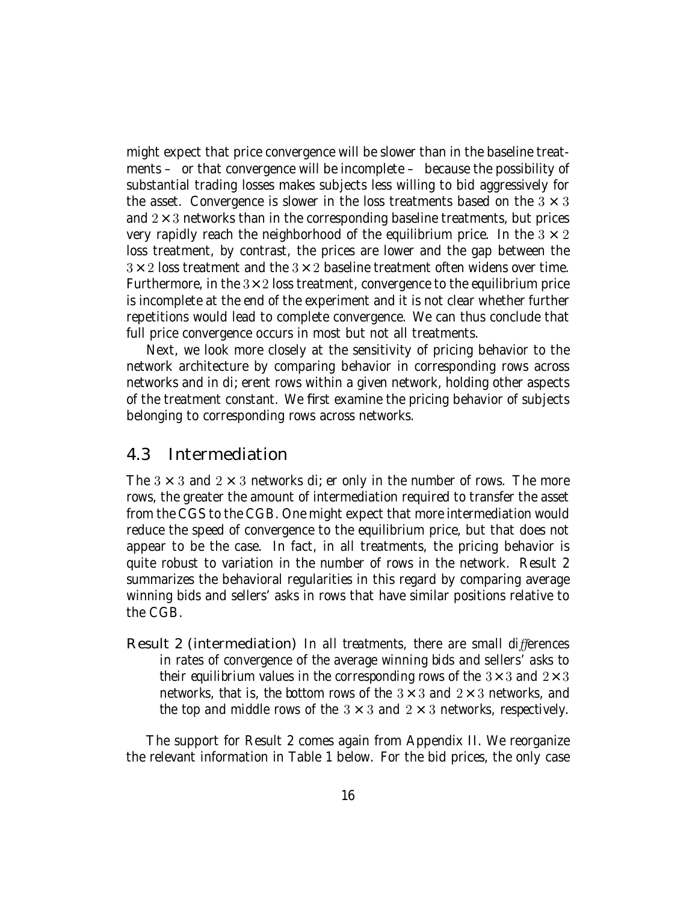might expect that price convergence will be slower than in the baseline treatments – or that convergence will be incomplete – because the possibility of substantial trading losses makes subjects less willing to bid aggressively for the asset. Convergence is slower in the loss treatments based on the  $3 \times 3$ and  $2\times3$  networks than in the corresponding baseline treatments, but prices very rapidly reach the neighborhood of the equilibrium price. In the  $3 \times 2$ loss treatment, by contrast, the prices are lower and the gap between the  $3\times2$  loss treatment and the  $3\times2$  baseline treatment often widens over time. Furthermore, in the  $3\times 2$  loss treatment, convergence to the equilibrium price is incomplete at the end of the experiment and it is not clear whether further repetitions would lead to complete convergence. We can thus conclude that full price convergence occurs in most but not all treatments.

Next, we look more closely at the sensitivity of pricing behavior to the network architecture by comparing behavior in corresponding rows across networks and in di erent rows within a given network, holding other aspects of the treatment constant. We first examine the pricing behavior of subjects belonging to corresponding rows across networks.

#### 4.3 Intermediation

The  $3 \times 3$  and  $2 \times 3$  networks di er only in the number of rows. The more rows, the greater the amount of intermediation required to transfer the asset from the CGS to the CGB. One might expect that more intermediation would reduce the speed of convergence to the equilibrium price, but that does not appear to be the case. In fact, in all treatments, the pricing behavior is quite robust to variation in the number of rows in the network. Result 2 summarizes the behavioral regularities in this regard by comparing average winning bids and sellers' asks in rows that have similar positions relative to the CGB.

Result 2 (intermediation) In all treatments, there are small differences in rates of convergence of the average winning bids and sellers' asks to their equilibrium values in the corresponding rows of the  $3 \times 3$  and  $2 \times 3$ networks, that is, the bottom rows of the  $3 \times 3$  and  $2 \times 3$  networks, and the top and middle rows of the  $3 \times 3$  and  $2 \times 3$  networks, respectively.

The support for Result 2 comes again from Appendix II. We reorganize the relevant information in Table 1 below. For the bid prices, the only case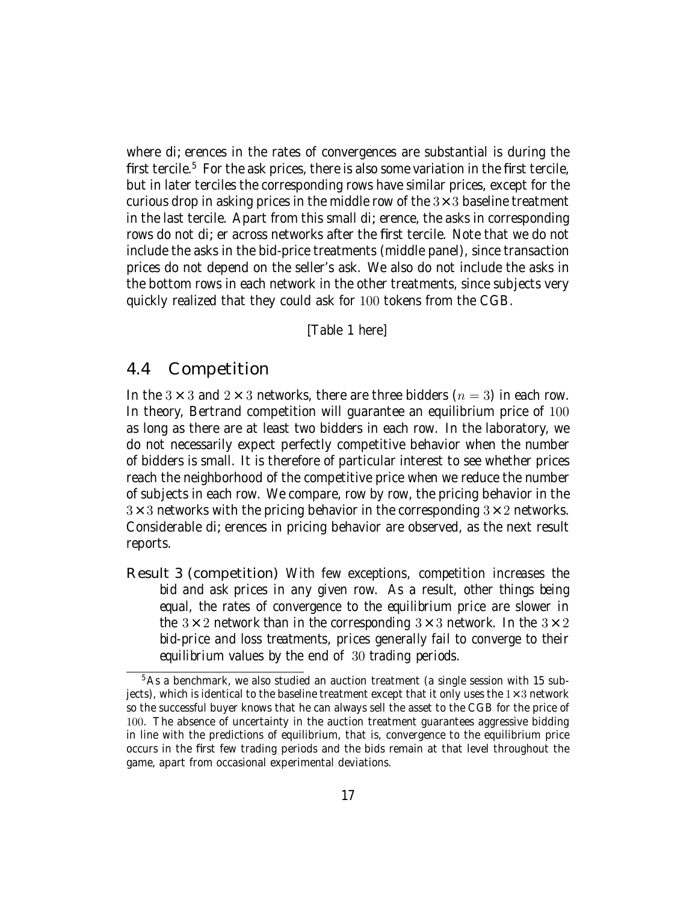where di erences in the rates of convergences are substantial is during the first tercile.<sup>5</sup> For the ask prices, there is also some variation in the first tercile, but in later terciles the corresponding rows have similar prices, except for the curious drop in asking prices in the middle row of the  $3 \times 3$  baseline treatment in the last tercile. Apart from this small di erence, the asks in corresponding rows do not di er across networks after the first tercile. Note that we do not include the asks in the bid-price treatments (middle panel), since transaction prices do not depend on the seller's ask. We also do not include the asks in the bottom rows in each network in the other treatments, since subjects very quickly realized that they could ask for 100 tokens from the CGB.

[Table 1 here]

#### 4.4 Competition

In the 3  $\times$  3 and 2  $\times$  3 networks, there are three bidders ( $n = 3$ ) in each row. In theory, Bertrand competition will guarantee an equilibrium price of 100 as long as there are at least two bidders in each row. In the laboratory, we do not necessarily expect perfectly competitive behavior when the number of bidders is small. It is therefore of particular interest to see whether prices reach the neighborhood of the competitive price when we reduce the number of subjects in each row. We compare, row by row, the pricing behavior in the  $3\times3$  networks with the pricing behavior in the corresponding  $3\times2$  networks. Considerable di erences in pricing behavior are observed, as the next result reports.

Result 3 (competition) With few exceptions, competition increases the bid and ask prices in any given row. As a result, other things being equal, the rates of convergence to the equilibrium price are slower in the  $3 \times 2$  network than in the corresponding  $3 \times 3$  network. In the  $3 \times 2$ bid-price and loss treatments, prices generally fail to converge to their equilibrium values by the end of 30 trading periods.

<sup>&</sup>lt;sup>5</sup>As a benchmark, we also studied an auction treatment (a single session with 15 subjects), which is identical to the baseline treatment except that it only uses the  $1\times3$  network so the successful buyer knows that he can always sell the asset to the CGB for the price of 100. The absence of uncertainty in the auction treatment guarantees aggressive bidding in line with the predictions of equilibrium, that is, convergence to the equilibrium price occurs in the first few trading periods and the bids remain at that level throughout the game, apart from occasional experimental deviations.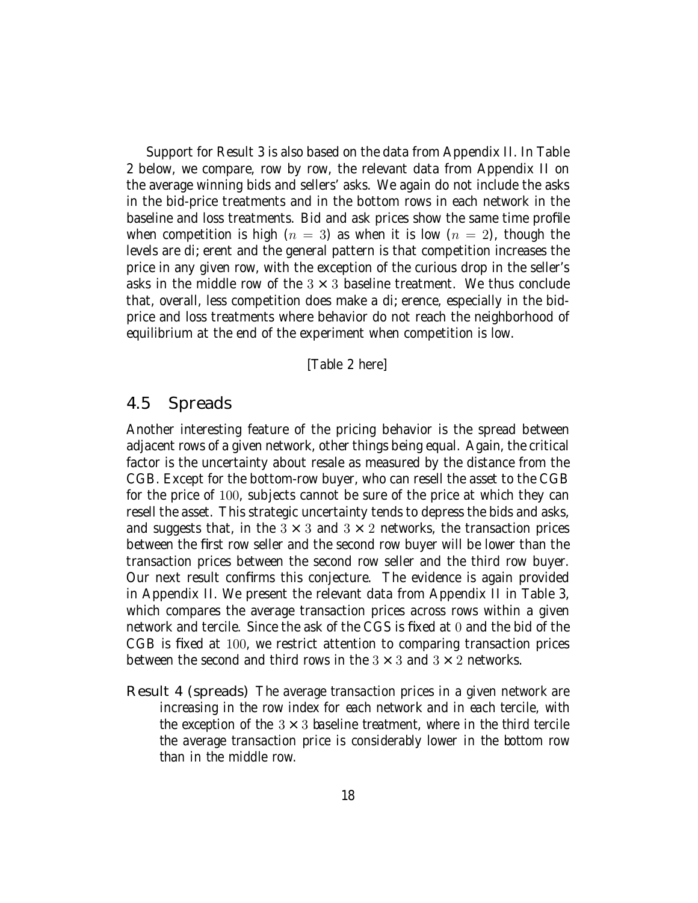Support for Result 3 is also based on the data from Appendix II. In Table 2 below, we compare, row by row, the relevant data from Appendix II on the average winning bids and sellers' asks. We again do not include the asks in the bid-price treatments and in the bottom rows in each network in the baseline and loss treatments. Bid and ask prices show the same time profile when competition is high  $(n = 3)$  as when it is low  $(n = 2)$ , though the levels are di erent and the general pattern is that competition increases the price in any given row, with the exception of the curious drop in the seller's asks in the middle row of the  $3 \times 3$  baseline treatment. We thus conclude that, overall, less competition does make a di erence, especially in the bidprice and loss treatments where behavior do not reach the neighborhood of equilibrium at the end of the experiment when competition is low.

[Table 2 here]

#### 4.5 Spreads

Another interesting feature of the pricing behavior is the spread between adjacent rows of a given network, other things being equal. Again, the critical factor is the uncertainty about resale as measured by the distance from the CGB. Except for the bottom-row buyer, who can resell the asset to the CGB for the price of 100, subjects cannot be sure of the price at which they can resell the asset. This strategic uncertainty tends to depress the bids and asks, and suggests that, in the  $3 \times 3$  and  $3 \times 2$  networks, the transaction prices between the first row seller and the second row buyer will be lower than the transaction prices between the second row seller and the third row buyer. Our next result confirms this conjecture. The evidence is again provided in Appendix II. We present the relevant data from Appendix II in Table 3, which compares the average transaction prices across rows within a given network and tercile. Since the ask of the CGS is fixed at 0 and the bid of the CGB is fixed at 100, we restrict attention to comparing transaction prices between the second and third rows in the  $3 \times 3$  and  $3 \times 2$  networks.

Result 4 (spreads) The average transaction prices in a given network are increasing in the row index for each network and in each tercile, with the exception of the  $3 \times 3$  baseline treatment, where in the third tercile the average transaction price is considerably lower in the bottom row than in the middle row.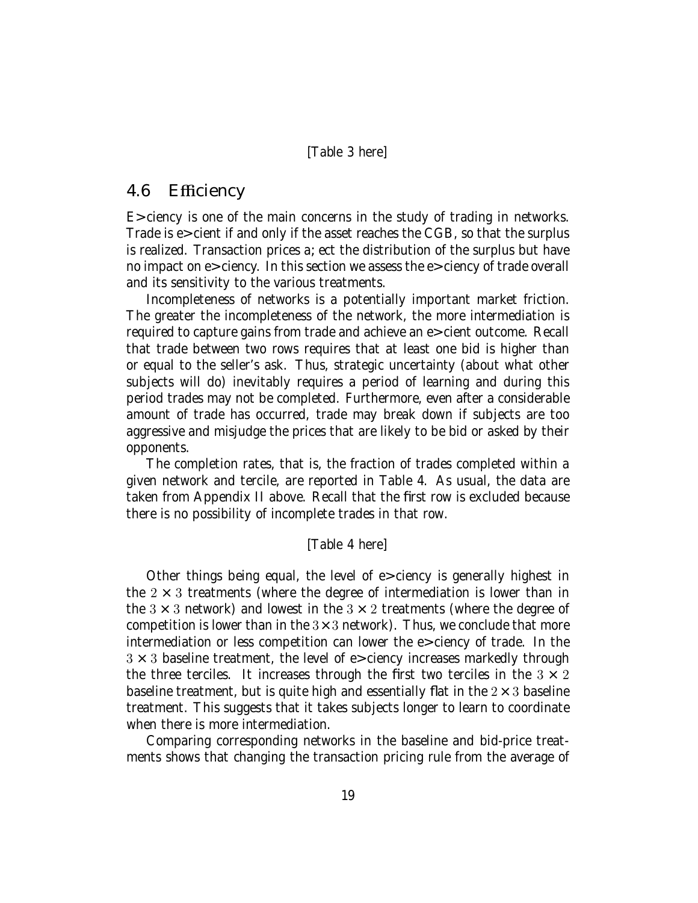[Table 3 here]

### 4.6 Efficiency

E ciency is one of the main concerns in the study of trading in networks. Trade is e cient if and only if the asset reaches the CGB, so that the surplus is realized. Transaction prices a ect the distribution of the surplus but have no impact on e ciency. In this section we assess the e ciency of trade overall and its sensitivity to the various treatments.

Incompleteness of networks is a potentially important market friction. The greater the incompleteness of the network, the more intermediation is required to capture gains from trade and achieve an e cient outcome. Recall that trade between two rows requires that at least one bid is higher than or equal to the seller's ask. Thus, strategic uncertainty (about what other subjects will do) inevitably requires a period of learning and during this period trades may not be completed. Furthermore, even after a considerable amount of trade has occurred, trade may break down if subjects are too aggressive and misjudge the prices that are likely to be bid or asked by their opponents.

The completion rates, that is, the fraction of trades completed within a given network and tercile, are reported in Table 4. As usual, the data are taken from Appendix II above. Recall that the first row is excluded because there is no possibility of incomplete trades in that row.

#### [Table 4 here]

Other things being equal, the level of e ciency is generally highest in the  $2 \times 3$  treatments (where the degree of intermediation is lower than in the  $3 \times 3$  network) and lowest in the  $3 \times 2$  treatments (where the degree of competition is lower than in the  $3\times3$  network). Thus, we conclude that more intermediation or less competition can lower the e ciency of trade. In the  $3 \times 3$  baseline treatment, the level of e ciency increases markedly through the three terciles. It increases through the first two terciles in the  $3 \times 2$ baseline treatment, but is quite high and essentially flat in the  $2 \times 3$  baseline treatment. This suggests that it takes subjects longer to learn to coordinate when there is more intermediation.

Comparing corresponding networks in the baseline and bid-price treatments shows that changing the transaction pricing rule from the average of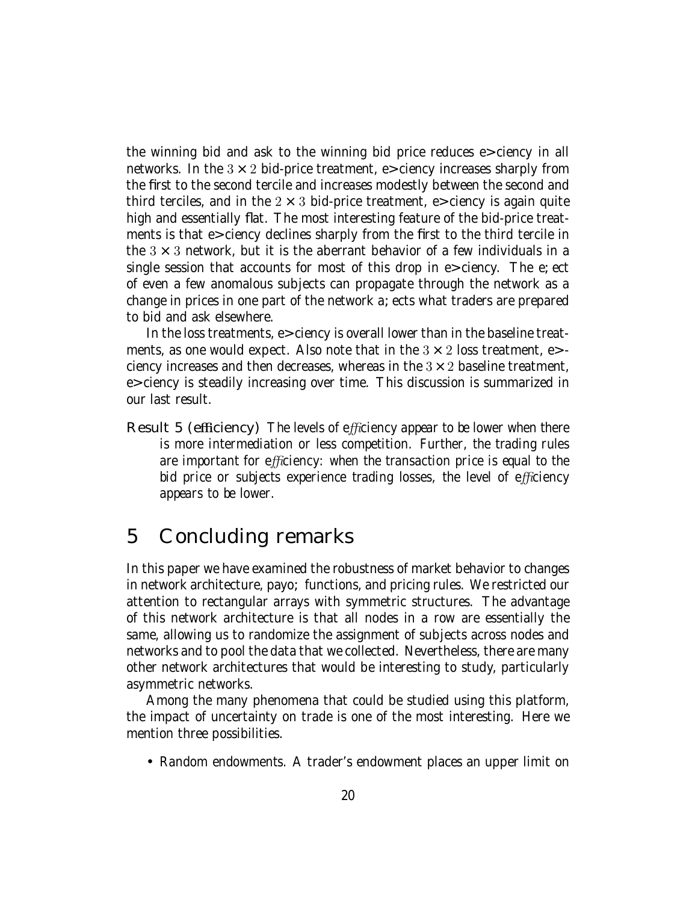the winning bid and ask to the winning bid price reduces e ciency in all networks. In the  $3 \times 2$  bid-price treatment, e ciency increases sharply from the first to the second tercile and increases modestly between the second and third terciles, and in the  $2 \times 3$  bid-price treatment, e ciency is again quite high and essentially flat. The most interesting feature of the bid-price treatments is that e ciency declines sharply from the first to the third tercile in the  $3 \times 3$  network, but it is the aberrant behavior of a few individuals in a single session that accounts for most of this drop in e ciency. The e ect of even a few anomalous subjects can propagate through the network as a change in prices in one part of the network a ects what traders are prepared to bid and ask elsewhere.

In the loss treatments, e ciency is overall lower than in the baseline treatments, as one would expect. Also note that in the  $3 \times 2$  loss treatment, e ciency increases and then decreases, whereas in the  $3 \times 2$  baseline treatment, e ciency is steadily increasing over time. This discussion is summarized in our last result.

**Result 5 (efficiency)** The levels of efficiency appear to be lower when there is more intermediation or less competition. Further, the trading rules are important for efficiency: when the transaction price is equal to the bid price or subjects experience trading losses, the level of efficiency appears to be lower.

# 5 Concluding remarks

In this paper we have examined the robustness of market behavior to changes in network architecture, payo functions, and pricing rules. We restricted our attention to rectangular arrays with symmetric structures. The advantage of this network architecture is that all nodes in a row are essentially the same, allowing us to randomize the assignment of subjects across nodes and networks and to pool the data that we collected. Nevertheless, there are many other network architectures that would be interesting to study, particularly asymmetric networks.

Among the many phenomena that could be studied using this platform, the impact of uncertainty on trade is one of the most interesting. Here we mention three possibilities.

• Random endowments. A trader's endowment places an upper limit on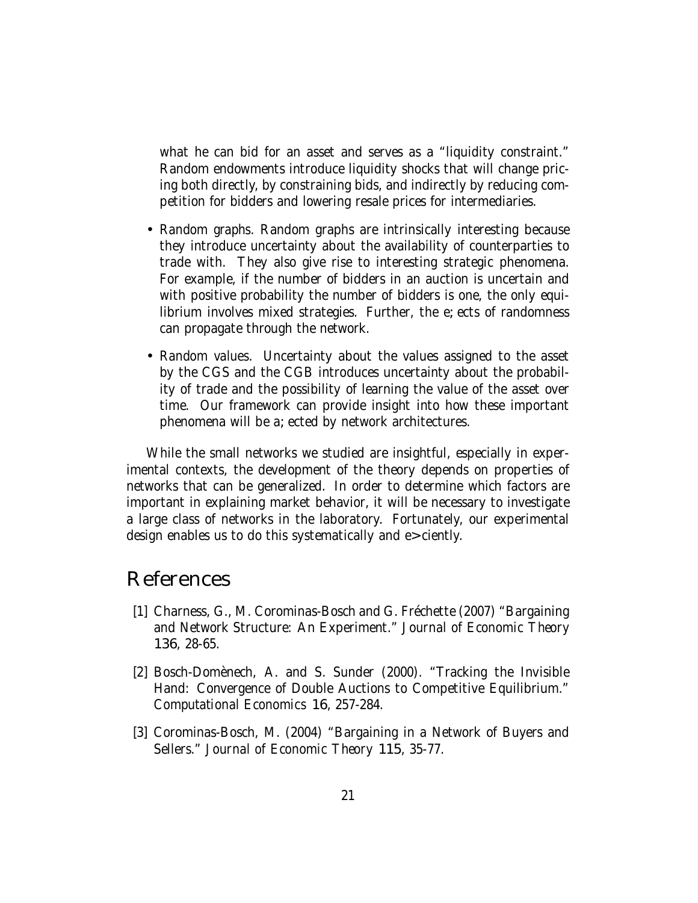what he can bid for an asset and serves as a "liquidity constraint." Random endowments introduce liquidity shocks that will change pricing both directly, by constraining bids, and indirectly by reducing competition for bidders and lowering resale prices for intermediaries.

- Random graphs. Random graphs are intrinsically interesting because they introduce uncertainty about the availability of counterparties to trade with. They also give rise to interesting strategic phenomena. For example, if the number of bidders in an auction is uncertain and with positive probability the number of bidders is one, the only equilibrium involves mixed strategies. Further, the e ects of randomness can propagate through the network.
- Random values. Uncertainty about the values assigned to the asset by the CGS and the CGB introduces uncertainty about the probability of trade and the possibility of learning the value of the asset over time. Our framework can provide insight into how these important phenomena will be a ected by network architectures.

While the small networks we studied are insightful, especially in experimental contexts, the development of the theory depends on properties of networks that can be generalized. In order to determine which factors are important in explaining market behavior, it will be necessary to investigate a large class of networks in the laboratory. Fortunately, our experimental design enables us to do this systematically and e ciently.

## References

- [1] Charness, G., M. Corominas-Bosch and G. Fréchette (2007) "Bargaining and Network Structure: An Experiment." Journal of Economic Theory 136, 28-65.
- [2] Bosch-Domènech, A. and S. Sunder (2000). "Tracking the Invisible Hand: Convergence of Double Auctions to Competitive Equilibrium." Computational Economics 16, 257-284.
- [3] Corominas-Bosch, M. (2004) "Bargaining in a Network of Buyers and Sellers." Journal of Economic Theory 115, 35-77.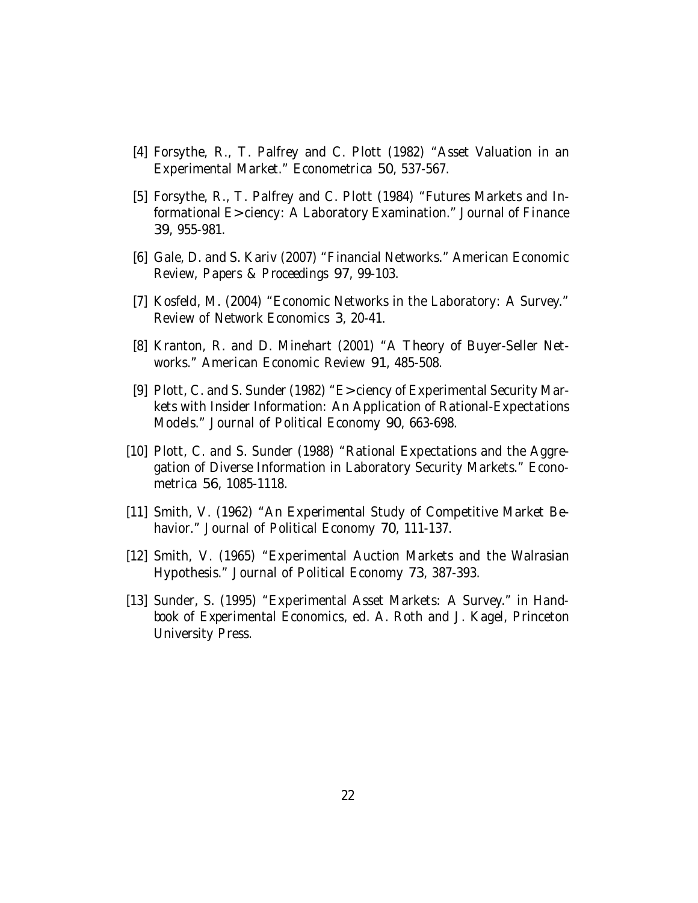- [4] Forsythe, R., T. Palfrey and C. Plott (1982) "Asset Valuation in an Experimental Market." Econometrica 50, 537-567.
- [5] Forsythe, R., T. Palfrey and C. Plott (1984) "Futures Markets and Informational E ciency: A Laboratory Examination." Journal of Finance 39, 955-981.
- [6] Gale, D. and S. Kariv (2007) "Financial Networks." American Economic Review, Papers & Proceedings 97, 99-103.
- [7] Kosfeld, M. (2004) "Economic Networks in the Laboratory: A Survey." Review of Network Economics 3, 20-41.
- [8] Kranton, R. and D. Minehart (2001) "A Theory of Buyer-Seller Networks." American Economic Review 91, 485-508.
- [9] Plott, C. and S. Sunder (1982) "E ciency of Experimental Security Markets with Insider Information: An Application of Rational-Expectations Models." Journal of Political Economy 90, 663-698.
- [10] Plott, C. and S. Sunder (1988) "Rational Expectations and the Aggregation of Diverse Information in Laboratory Security Markets." Econometrica 56, 1085-1118.
- [11] Smith, V. (1962) "An Experimental Study of Competitive Market Behavior." Journal of Political Economy 70, 111-137.
- [12] Smith, V. (1965) "Experimental Auction Markets and the Walrasian Hypothesis." Journal of Political Economy 73, 387-393.
- [13] Sunder, S. (1995) "Experimental Asset Markets: A Survey." in Handbook of Experimental Economics, ed. A. Roth and J. Kagel, Princeton University Press.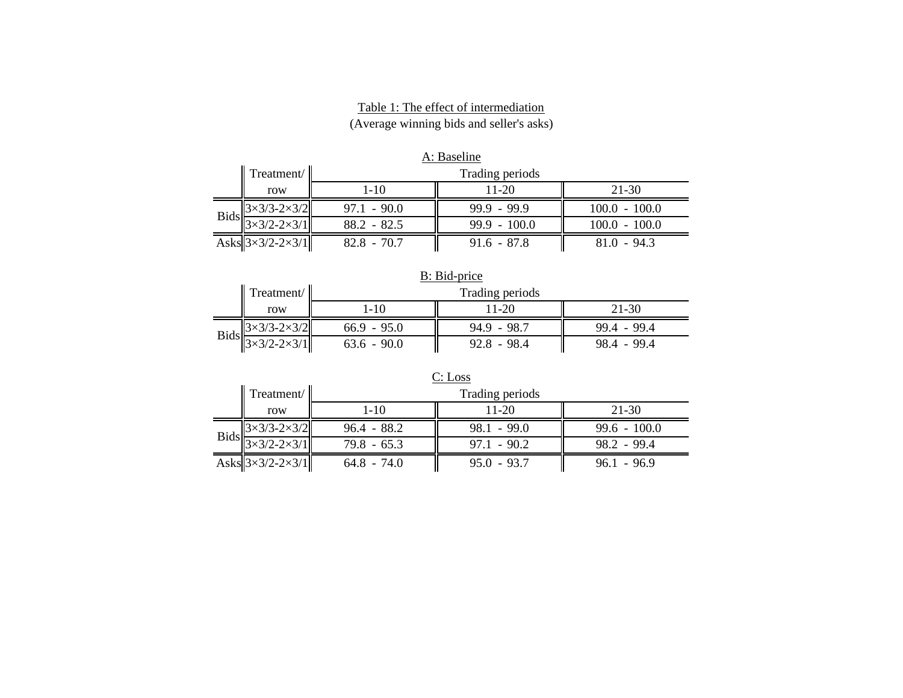#### Table 1: The effect of intermediation (Average winning bids and seller's asks)

| A: Baseline |                                    |                                                 |                    |                 |  |  |  |
|-------------|------------------------------------|-------------------------------------------------|--------------------|-----------------|--|--|--|
|             | $\parallel$ Treatment/ $\parallel$ | Trading periods                                 |                    |                 |  |  |  |
|             | row                                | $1 - 10$                                        | 21-30<br>$11 - 20$ |                 |  |  |  |
|             | $3\times3/3-2\times3/2$            | $97.1 - 90.0$                                   | $99.9 - 99.9$      | $100.0 - 100.0$ |  |  |  |
|             | $3\times3/2-2\times3/1$            | $88.2 - 82.5$                                   | $99.9 - 100.0$     | $100.0 - 100.0$ |  |  |  |
|             | Asks $3\times3/2-2\times3/1$       | $82.8 - 70.7$<br>$91.6 - 87.8$<br>$81.0 - 94.3$ |                    |                 |  |  |  |

| B: Bid-price |                           |               |                 |               |  |  |  |
|--------------|---------------------------|---------------|-----------------|---------------|--|--|--|
|              | Treatment/                |               | Trading periods |               |  |  |  |
|              | row                       | 1-10          | 21-30<br>11-20  |               |  |  |  |
|              | $3\times3/3 - 2\times3/2$ | $66.9 - 95.0$ | $94.9 - 98.7$   | $99.4 - 99.4$ |  |  |  |
| <b>Bids</b>  | $3\times3/2 - 2\times3/1$ | $63.6 - 90.0$ | $92.8 - 98.4$   | $98.4 - 99.4$ |  |  |  |

| C: Loss     |                                  |                                |                 |                |  |  |  |
|-------------|----------------------------------|--------------------------------|-----------------|----------------|--|--|--|
|             | Treatment/                       |                                | Trading periods |                |  |  |  |
|             | row                              | $11 - 20$<br>21-30<br>$1 - 10$ |                 |                |  |  |  |
| <b>Bids</b> | $3\times3/3$ -2 $\times3/2$      | $96.4 - 88.2$                  | $98.1 - 99.0$   | $99.6 - 100.0$ |  |  |  |
|             | $3\times3/2 - 2\times3/1$        | $79.8 - 65.3$                  | $97.1 - 90.2$   | $98.2 - 99.4$  |  |  |  |
|             | Asks $3\times3/2$ -2 $\times3/1$ | $64.8 - 74.0$                  | $95.0 - 93.7$   | $96.1 - 96.9$  |  |  |  |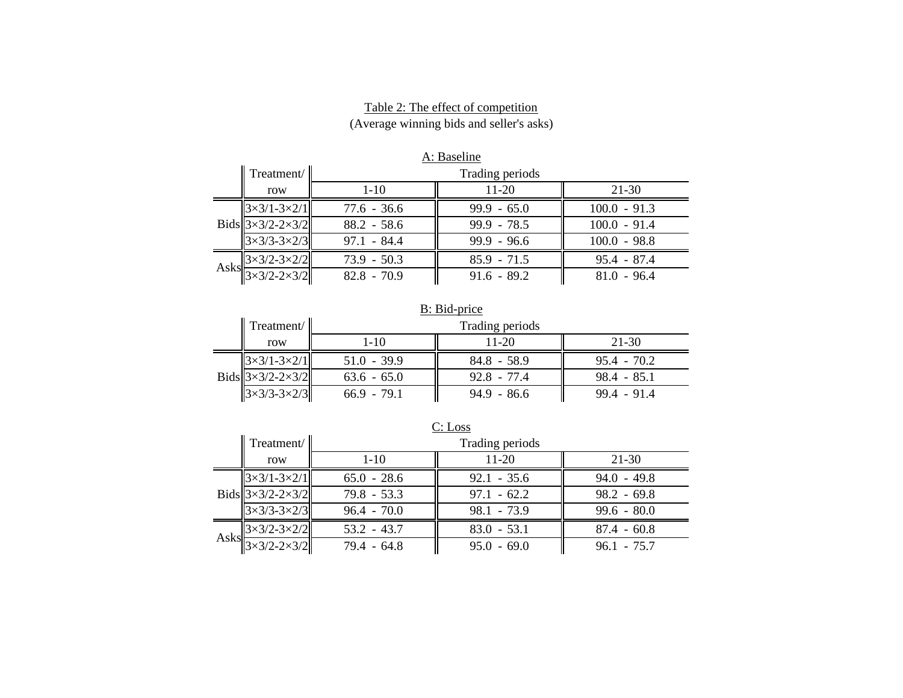| Table 2: The effect of competition       |  |
|------------------------------------------|--|
| (Average winning bids and seller's asks) |  |

| A: Baseline |                                                                        |               |                    |                |  |  |  |  |
|-------------|------------------------------------------------------------------------|---------------|--------------------|----------------|--|--|--|--|
|             | Treatment/                                                             |               | Trading periods    |                |  |  |  |  |
|             | row                                                                    | $1 - 10$      | $11 - 20$<br>21-30 |                |  |  |  |  |
|             | $3 \times 3/1 - 3 \times 2/1$                                          | $77.6 - 36.6$ | $99.9 - 65.0$      | $100.0 - 91.3$ |  |  |  |  |
|             | Bids $3\times3/2$ -2 $\times3/2$                                       | $88.2 - 58.6$ | $99.9 - 78.5$      | $100.0 - 91.4$ |  |  |  |  |
|             | $3\times3/3-3\times2/3$                                                | $97.1 - 84.4$ | $99.9 - 96.6$      | $100.0 - 98.8$ |  |  |  |  |
|             | Asks $\frac{3 \times 3/2 - 3 \times 2/2}{3 \times 3/2 - 2 \times 3/2}$ | $73.9 - 50.3$ | $85.9 - 71.5$      | $95.4 - 87.4$  |  |  |  |  |
|             |                                                                        | $82.8 - 70.9$ | $91.6 - 89.2$      | $81.0 - 96.4$  |  |  |  |  |

| B: Bid-price |                                    |               |                 |               |  |  |  |
|--------------|------------------------------------|---------------|-----------------|---------------|--|--|--|
|              | $\parallel$ Treatment/ $\parallel$ |               | Trading periods |               |  |  |  |
|              | row                                | $1-10$        | 21-30<br>11-20  |               |  |  |  |
|              | $3 \times 3/1 - 3 \times 2/1$      | $51.0 - 39.9$ | $84.8 - 58.9$   | $95.4 - 70.2$ |  |  |  |
|              | Bids $3\times3/2$ -2 $\times3/2$   | $63.6 - 65.0$ | $92.8 - 77.4$   | $98.4 - 85.1$ |  |  |  |
|              | $3\times3/3 - 3\times2/3$          | $66.9 - 79.1$ | $94.9 - 86.6$   | $99.4 - 91.4$ |  |  |  |

| C: Loss |                                    |               |                      |               |  |  |  |  |
|---------|------------------------------------|---------------|----------------------|---------------|--|--|--|--|
|         | Treatment/                         |               | Trading periods      |               |  |  |  |  |
|         | row                                | $1 - 10$      | $11-20$<br>$21 - 30$ |               |  |  |  |  |
|         | $3 \times 3/1 - 3 \times 2/1$      | $65.0 - 28.6$ | $92.1 - 35.6$        | $94.0 - 49.8$ |  |  |  |  |
|         | Bids $3 \times 3/2 - 2 \times 3/2$ | $79.8 - 53.3$ | $97.1 - 62.2$        | $98.2 - 69.8$ |  |  |  |  |
|         | $3\times3/3 - 3\times2/3$          | $96.4 - 70.0$ | $98.1 - 73.9$        | $99.6 - 80.0$ |  |  |  |  |
|         | Asks $3 \times 3/2 - 3 \times 2/2$ | $53.2 - 43.7$ | $83.0 - 53.1$        | $87.4 - 60.8$ |  |  |  |  |
|         | $13\times3/2 - 2\times3/2$         | $79.4 - 64.8$ | $95.0 - 69.0$        | $96.1 - 75.7$ |  |  |  |  |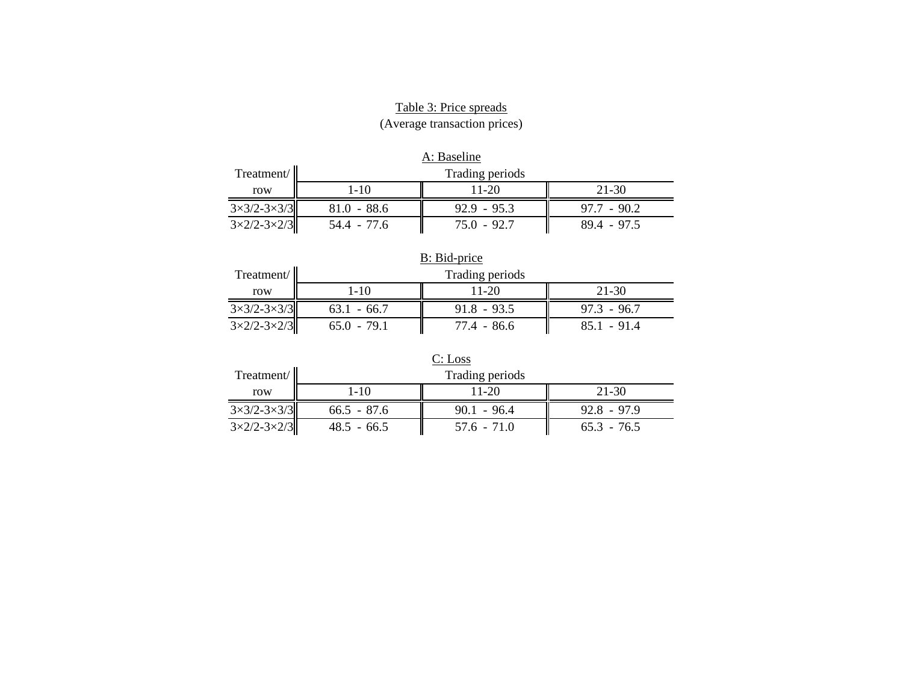# Table 3: Price spreads

(Average transaction prices)

| A: Baseline                   |               |                                |               |  |  |  |  |
|-------------------------------|---------------|--------------------------------|---------------|--|--|--|--|
| Treatment/                    |               | Trading periods                |               |  |  |  |  |
| row                           | 1-10          | $21 - 30$<br>$11 - 20$         |               |  |  |  |  |
| $3\times3/2 - 3\times3/3$     | $81.0 - 88.6$ | $92.9 - 95.3$                  | $97.7 - 90.2$ |  |  |  |  |
| $3 \times 2/2 - 3 \times 2/3$ | 54.4 - 77.6   | $75.0 - 92.7$<br>$89.4 - 97.5$ |               |  |  |  |  |

| B: Bid-price                  |               |                              |  |  |  |  |
|-------------------------------|---------------|------------------------------|--|--|--|--|
| Treatment/                    |               | Trading periods              |  |  |  |  |
| row                           | 1-10          | 21-30<br>$11 - 20$           |  |  |  |  |
| $3\times3/2 - 3\times3/3$     | $63.1 - 66.7$ | $91.8 - 93.5$                |  |  |  |  |
| $3 \times 2/2 - 3 \times 2/3$ | $65.0 - 79.1$ | 77.4 - 86.6<br>$85.1 - 91.4$ |  |  |  |  |

| C: Loss                       |               |                        |               |  |  |  |  |
|-------------------------------|---------------|------------------------|---------------|--|--|--|--|
| Treatment/                    |               | Trading periods        |               |  |  |  |  |
| row                           | $1 - 10$      | $11 - 20$<br>$21 - 30$ |               |  |  |  |  |
| $3\times3/2 - 3\times3/3$     | $66.5 - 87.6$ | $90.1 - 96.4$          | $92.8 - 97.9$ |  |  |  |  |
| $3 \times 2/2 - 3 \times 2/3$ | $48.5 - 66.5$ | $57.6 - 71.0$          | $65.3 - 76.5$ |  |  |  |  |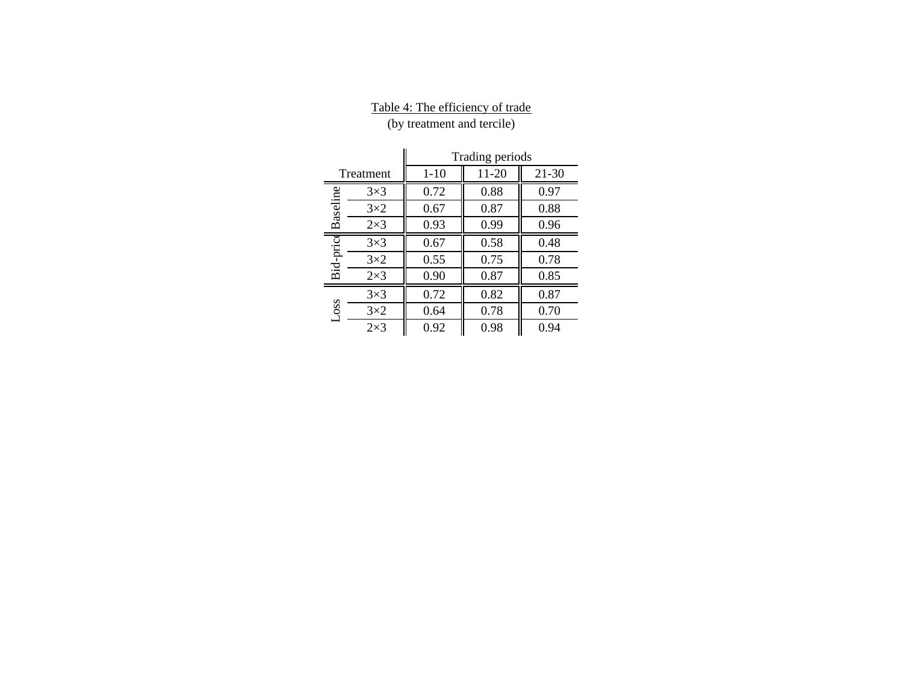## Table 4: The efficiency of trade

(by treatment and tercile)

|             |            | Trading periods |       |       |
|-------------|------------|-----------------|-------|-------|
|             | Treatment  | $1-10$          | 11-20 | 21-30 |
|             | $3\times3$ | 0.72            | 0.88  | 0.97  |
| Baseline    | $3\times2$ | 0.67            | 0.87  | 0.88  |
|             | $2\times3$ | 0.93            | 0.99  | 0.96  |
| Bid-price   | $3\times3$ | 0.67            | 0.58  | 0.48  |
|             | $3\times2$ | 0.55            | 0.75  | 0.78  |
|             | $2\times3$ | 0.90            | 0.87  | 0.85  |
|             | $3\times3$ | 0.72            | 0.82  | 0.87  |
| <b>LOSS</b> | $3\times2$ | 0.64            | 0.78  | 0.70  |
|             | $2\times3$ | 0.92            | 0.98  | 0.94  |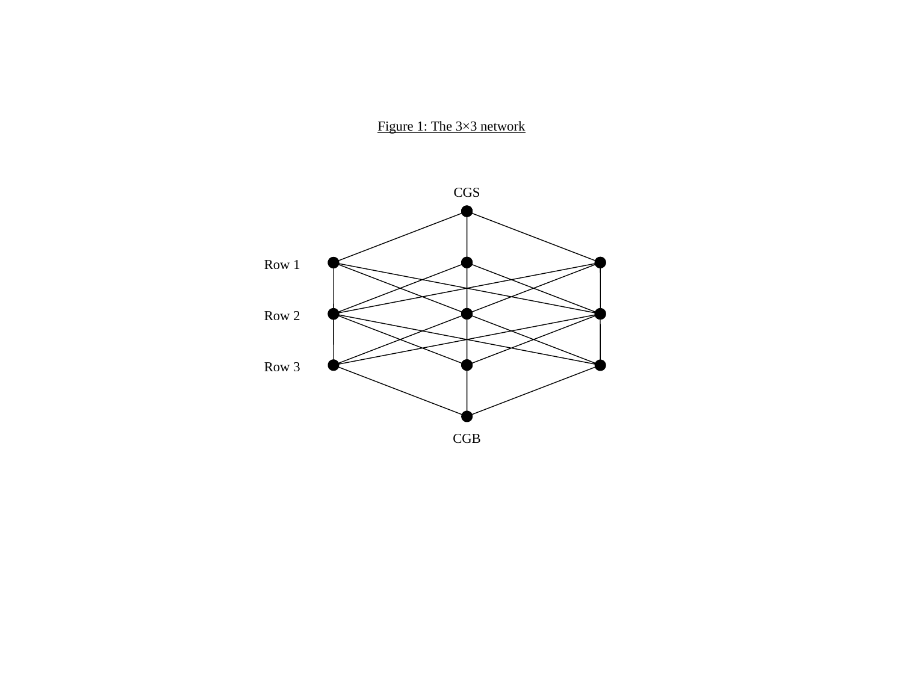# Figure 1: The 3×3 network

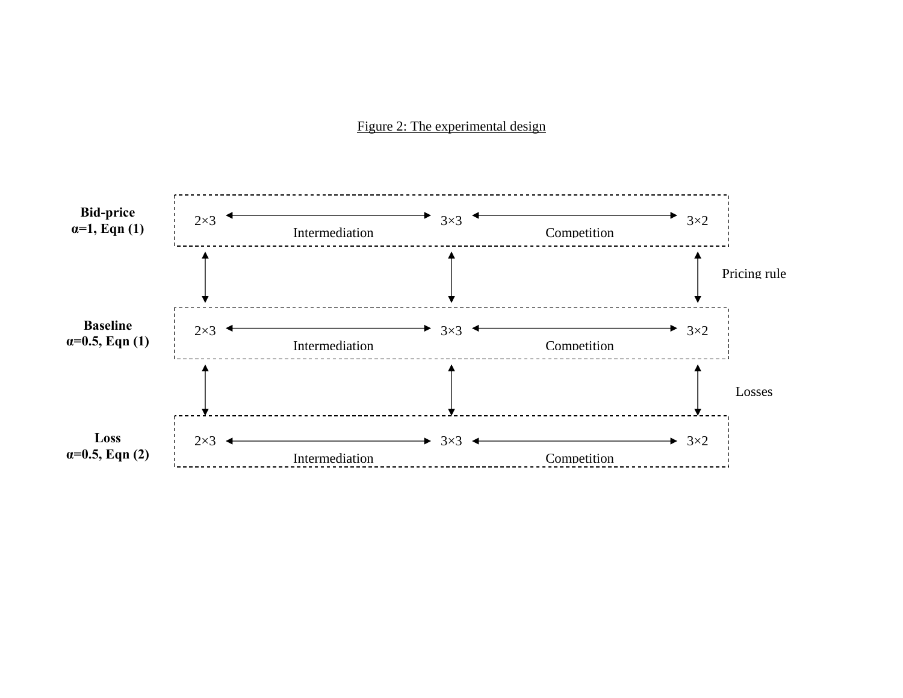#### Figure 2: The experimental design